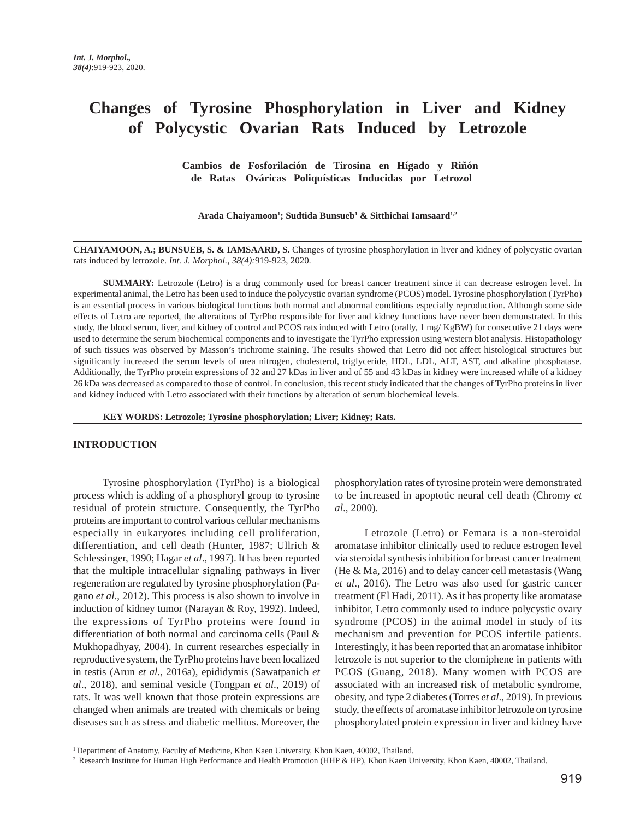# **Changes of Tyrosine Phosphorylation in Liver and Kidney of Polycystic Ovarian Rats Induced by Letrozole**

 **Cambios de Fosforilación de Tirosina en Hígado y Riñón de Ratas Ováricas Poliquísticas Inducidas por Letrozol**

**Arada Chaiyamoon1 ; Sudtida Bunsueb1 & Sitthichai Iamsaard1,2**

**CHAIYAMOON, A.; BUNSUEB, S. & IAMSAARD, S.** Changes of tyrosine phosphorylation in liver and kidney of polycystic ovarian rats induced by letrozole. *Int. J. Morphol., 38(4):*919-923, 2020.

**SUMMARY:** Letrozole (Letro) is a drug commonly used for breast cancer treatment since it can decrease estrogen level. In experimental animal, the Letro has been used to induce the polycystic ovarian syndrome (PCOS) model. Tyrosine phosphorylation (TyrPho) is an essential process in various biological functions both normal and abnormal conditions especially reproduction. Although some side effects of Letro are reported, the alterations of TyrPho responsible for liver and kidney functions have never been demonstrated. In this study, the blood serum, liver, and kidney of control and PCOS rats induced with Letro (orally, 1 mg/ KgBW) for consecutive 21 days were used to determine the serum biochemical components and to investigate the TyrPho expression using western blot analysis. Histopathology of such tissues was observed by Masson's trichrome staining. The results showed that Letro did not affect histological structures but significantly increased the serum levels of urea nitrogen, cholesterol, triglyceride, HDL, LDL, ALT, AST, and alkaline phosphatase. Additionally, the TyrPho protein expressions of 32 and 27 kDas in liver and of 55 and 43 kDas in kidney were increased while of a kidney 26 kDa was decreased as compared to those of control. In conclusion, this recent study indicated that the changes of TyrPho proteins in liver and kidney induced with Letro associated with their functions by alteration of serum biochemical levels.

**KEY WORDS: Letrozole; Tyrosine phosphorylation; Liver; Kidney; Rats.**

#### **INTRODUCTION**

Tyrosine phosphorylation (TyrPho) is a biological process which is adding of a phosphoryl group to tyrosine residual of protein structure. Consequently, the TyrPho proteins are important to control various cellular mechanisms especially in eukaryotes including cell proliferation, differentiation, and cell death (Hunter, 1987; Ullrich & Schlessinger, 1990; Hagar *et al*., 1997). It has been reported that the multiple intracellular signaling pathways in liver regeneration are regulated by tyrosine phosphorylation (Pagano *et al*., 2012). This process is also shown to involve in induction of kidney tumor (Narayan & Roy, 1992). Indeed, the expressions of TyrPho proteins were found in differentiation of both normal and carcinoma cells (Paul & Mukhopadhyay, 2004). In current researches especially in reproductive system, the TyrPho proteins have been localized in testis (Arun *et al*., 2016a), epididymis (Sawatpanich *et al*., 2018), and seminal vesicle (Tongpan *et al*., 2019) of rats. It was well known that those protein expressions are changed when animals are treated with chemicals or being diseases such as stress and diabetic mellitus. Moreover, the phosphorylation rates of tyrosine protein were demonstrated to be increased in apoptotic neural cell death (Chromy *et al*., 2000).

Letrozole (Letro) or Femara is a non-steroidal aromatase inhibitor clinically used to reduce estrogen level via steroidal synthesis inhibition for breast cancer treatment (He & Ma, 2016) and to delay cancer cell metastasis (Wang *et al*., 2016). The Letro was also used for gastric cancer treatment (El Hadi, 2011). As it has property like aromatase inhibitor, Letro commonly used to induce polycystic ovary syndrome (PCOS) in the animal model in study of its mechanism and prevention for PCOS infertile patients. Interestingly, it has been reported that an aromatase inhibitor letrozole is not superior to the clomiphene in patients with PCOS (Guang, 2018). Many women with PCOS are associated with an increased risk of metabolic syndrome, obesity, and type 2 diabetes (Torres *et al*., 2019). In previous study, the effects of aromatase inhibitor letrozole on tyrosine phosphorylated protein expression in liver and kidney have

<sup>1</sup> Department of Anatomy, Faculty of Medicine, Khon Kaen University, Khon Kaen, 40002, Thailand.

<sup>&</sup>lt;sup>2</sup> Research Institute for Human High Performance and Health Promotion (HHP & HP), Khon Kaen University, Khon Kaen, 40002, Thailand.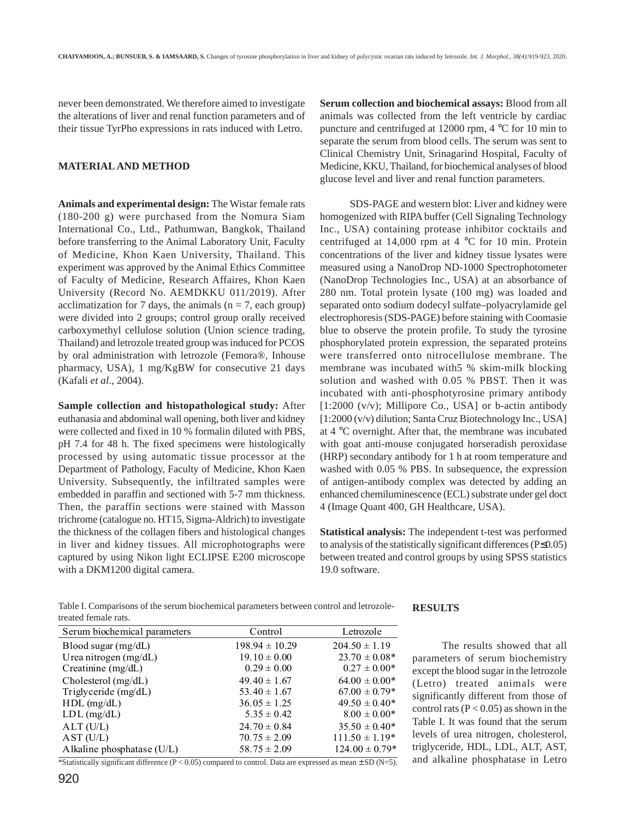never been demonstrated. We therefore aimed to investigate the alterations of liver and renal function parameters and of their tissue TyrPho expressions in rats induced with Letro.

## **MATERIAL AND METHOD**

**Animals and experimental design:** The Wistar female rats (180-200 g) were purchased from the Nomura Siam International Co., Ltd., Pathumwan, Bangkok, Thailand before transferring to the Animal Laboratory Unit, Faculty of Medicine, Khon Kaen University, Thailand. This experiment was approved by the Animal Ethics Committee of Faculty of Medicine, Research Affaires, Khon Kaen University (Record No. AEMDKKU 011/2019). After acclimatization for 7 days, the animals ( $n = 7$ , each group) were divided into 2 groups; control group orally received carboxymethyl cellulose solution (Union science trading, Thailand) and letrozole treated group was induced for PCOS by oral administration with letrozole (Femora®, Inhouse pharmacy, USA), 1 mg/KgBW for consecutive 21 days (Kafali *et al*., 2004).

**Sample collection and histopathological study:** After euthanasia and abdominal wall opening, both liver and kidney were collected and fixed in 10 % formalin diluted with PBS, pH 7.4 for 48 h. The fixed specimens were histologically processed by using automatic tissue processor at the Department of Pathology, Faculty of Medicine, Khon Kaen University. Subsequently, the infiltrated samples were embedded in paraffin and sectioned with 5-7 mm thickness. Then, the paraffin sections were stained with Masson trichrome (catalogue no. HT15, Sigma-Aldrich) to investigate the thickness of the collagen fibers and histological changes in liver and kidney tissues. All microphotographs were captured by using Nikon light ECLIPSE E200 microscope with a DKM1200 digital camera.

**Serum collection and biochemical assays:** Blood from all animals was collected from the left ventricle by cardiac puncture and centrifuged at 12000 rpm, 4 °C for 10 min to separate the serum from blood cells. The serum was sent to Clinical Chemistry Unit, Srinagarind Hospital, Faculty of Medicine, KKU, Thailand, for biochemical analyses of blood glucose level and liver and renal function parameters.

SDS-PAGE and western blot: Liver and kidney were homogenized with RIPA buffer (Cell Signaling Technology Inc., USA) containing protease inhibitor cocktails and centrifuged at 14,000 rpm at 4 °C for 10 min. Protein concentrations of the liver and kidney tissue lysates were measured using a NanoDrop ND-1000 Spectrophotometer (NanoDrop Technologies Inc., USA) at an absorbance of 280 nm. Total protein lysate (100 mg) was loaded and separated onto sodium dodecyl sulfate–polyacrylamide gel electrophoresis (SDS-PAGE) before staining with Coomasie blue to observe the protein profile. To study the tyrosine phosphorylated protein expression, the separated proteins were transferred onto nitrocellulose membrane. The membrane was incubated with5 % skim-milk blocking solution and washed with 0.05 % PBST. Then it was incubated with anti-phosphotyrosine primary antibody  $[1:2000 \, (v/v);$  Millipore Co., USA] or b-actin antibody [1:2000 (v/v) dilution; Santa Cruz Biotechnology Inc., USA] at 4 °C overnight. After that, the membrane was incubated with goat anti-mouse conjugated horseradish peroxidase (HRP) secondary antibody for 1 h at room temperature and washed with 0.05 % PBS. In subsequence, the expression of antigen-antibody complex was detected by adding an enhanced chemiluminescence (ECL) substrate under gel doct 4 (Image Quant 400, GH Healthcare, USA).

**Statistical analysis:** The independent t-test was performed to analysis of the statistically significant differences (P≤0.05) between treated and control groups by using SPSS statistics 19.0 software.

**RESULTS** Table I. Comparisons of the serum biochemical parameters between control and letrozoletreated female rats.

## The results showed that all parameters of serum biochemistry except the blood sugar in the letrozole (Letro) treated animals were significantly different from those of control rats  $(P < 0.05)$  as shown in the Table I. It was found that the serum levels of urea nitrogen, cholesterol, triglyceride, HDL, LDL, ALT, AST, and alkaline phosphatase in Letro

| Serum biochemical parameters | Control            | Letrozole          |
|------------------------------|--------------------|--------------------|
| Blood sugar $(mg/dL)$        | $198.94 \pm 10.29$ | $204.50 \pm 1.19$  |
| Urea nitrogen (mg/dL)        | $19.10 \pm 0.00$   | $23.70 \pm 0.08*$  |
| Creatinine (mg/dL)           | $0.29 \pm 0.00$    | $0.27 \pm 0.00*$   |
| Cholesterol (mg/dL)          | $49.40 \pm 1.67$   | $64.00 \pm 0.00*$  |
| Triglyceride (mg/dL)         | $53.40 \pm 1.67$   | $67.00 \pm 0.79*$  |
| $HDL$ (mg/dL)                | $36.05 \pm 1.25$   | $49.50 \pm 0.40^*$ |
| $LDL$ (mg/dL)                | $5.35 \pm 0.42$    | $8.00 \pm 0.00*$   |
| ALT (U/L)                    | $24.70 \pm 0.84$   | $35.50 \pm 0.40*$  |
| AST (U/L)                    | $70.75 \pm 2.09$   | $111.50 \pm 1.19*$ |
| Alkaline phosphatase $(U/L)$ | $58.75 \pm 2.09$   | $124.00 \pm 0.79*$ |

\*Statistically significant difference (P < 0.05) compared to control. Data are expressed as mean  $\pm$  SD (N=5).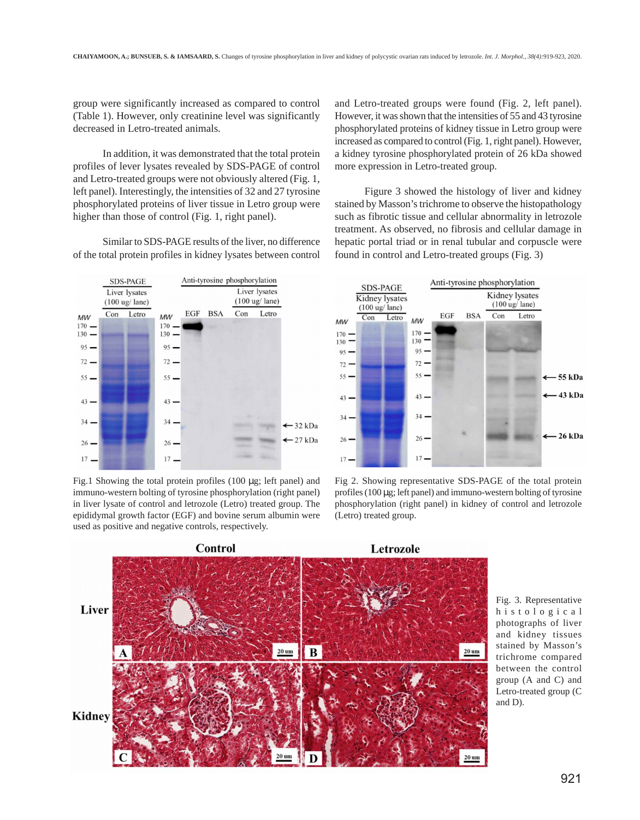group were significantly increased as compared to control (Table 1). However, only creatinine level was significantly decreased in Letro-treated animals.

In addition, it was demonstrated that the total protein profiles of lever lysates revealed by SDS-PAGE of control and Letro-treated groups were not obviously altered (Fig. 1, left panel). Interestingly, the intensities of 32 and 27 tyrosine phosphorylated proteins of liver tissue in Letro group were higher than those of control (Fig. 1, right panel).

Similar to SDS-PAGE results of the liver, no difference of the total protein profiles in kidney lysates between control



Fig.1 Showing the total protein profiles (100 µg; left panel) and immuno-western bolting of tyrosine phosphorylation (right panel) in liver lysate of control and letrozole (Letro) treated group. The epididymal growth factor (EGF) and bovine serum albumin were used as positive and negative controls, respectively.

and Letro-treated groups were found (Fig. 2, left panel). However, it was shown that the intensities of 55 and 43 tyrosine phosphorylated proteins of kidney tissue in Letro group were increased as compared to control (Fig. 1, right panel). However, a kidney tyrosine phosphorylated protein of 26 kDa showed more expression in Letro-treated group.

Figure 3 showed the histology of liver and kidney stained by Masson's trichrome to observe the histopathology such as fibrotic tissue and cellular abnormality in letrozole treatment. As observed, no fibrosis and cellular damage in hepatic portal triad or in renal tubular and corpuscle were found in control and Letro-treated groups (Fig. 3)



Fig 2. Showing representative SDS-PAGE of the total protein profiles (100 µg; left panel) and immuno-western bolting of tyrosine phosphorylation (right panel) in kidney of control and letrozole (Letro) treated group.



Fig. 3. Representative histological photographs of liver and kidney tissues stained by Masson's trichrome compared between the control group (A and C) and Letro-treated group (C and D).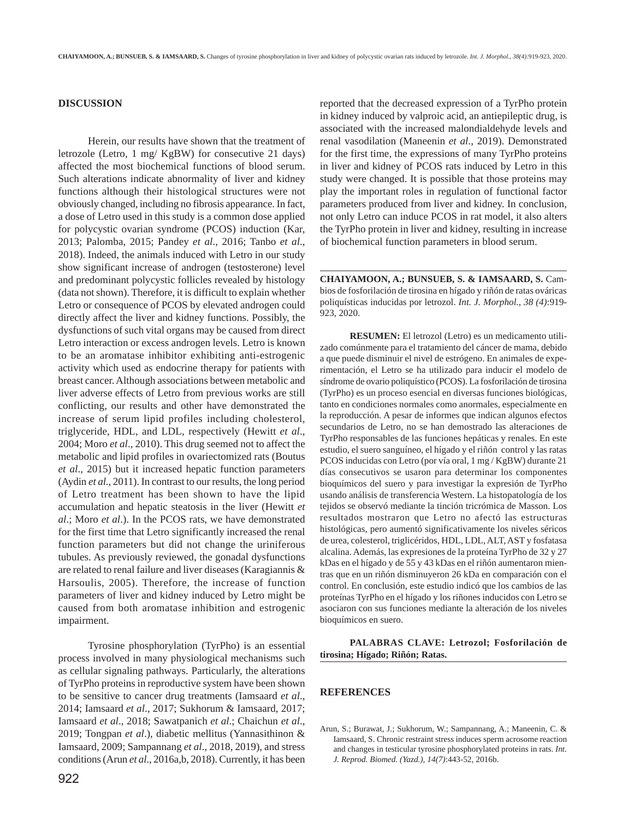## **DISCUSSION**

Herein, our results have shown that the treatment of letrozole (Letro, 1 mg/ KgBW) for consecutive 21 days) affected the most biochemical functions of blood serum. Such alterations indicate abnormality of liver and kidney functions although their histological structures were not obviously changed, including no fibrosis appearance. In fact, a dose of Letro used in this study is a common dose applied for polycystic ovarian syndrome (PCOS) induction (Kar, 2013; Palomba, 2015; Pandey *et al*., 2016; Tanbo *et al*., 2018). Indeed, the animals induced with Letro in our study show significant increase of androgen (testosterone) level and predominant polycystic follicles revealed by histology (data not shown). Therefore, it is difficult to explain whether Letro or consequence of PCOS by elevated androgen could directly affect the liver and kidney functions. Possibly, the dysfunctions of such vital organs may be caused from direct Letro interaction or excess androgen levels. Letro is known to be an aromatase inhibitor exhibiting anti-estrogenic activity which used as endocrine therapy for patients with breast cancer. Although associations between metabolic and liver adverse effects of Letro from previous works are still conflicting, our results and other have demonstrated the increase of serum lipid profiles including cholesterol, triglyceride, HDL, and LDL, respectively (Hewitt *et al*., 2004; Moro *et al*., 2010). This drug seemed not to affect the metabolic and lipid profiles in ovariectomized rats (Boutus *et al*., 2015) but it increased hepatic function parameters (Aydin *et al*., 2011). In contrast to our results, the long period of Letro treatment has been shown to have the lipid accumulation and hepatic steatosis in the liver (Hewitt *et al*.; Moro *et al*.). In the PCOS rats, we have demonstrated for the first time that Letro significantly increased the renal function parameters but did not change the uriniferous tubules. As previously reviewed, the gonadal dysfunctions are related to renal failure and liver diseases (Karagiannis & Harsoulis, 2005). Therefore, the increase of function parameters of liver and kidney induced by Letro might be caused from both aromatase inhibition and estrogenic impairment.

Tyrosine phosphorylation (TyrPho) is an essential process involved in many physiological mechanisms such as cellular signaling pathways. Particularly, the alterations of TyrPho proteins in reproductive system have been shown to be sensitive to cancer drug treatments (Iamsaard *et al*., 2014; Iamsaard *et al*., 2017; Sukhorum & Iamsaard, 2017; Iamsaard *et al*., 2018; Sawatpanich *et al*.; Chaichun *et al*., 2019; Tongpan *et al*.), diabetic mellitus (Yannasithinon & Iamsaard, 2009; Sampannang *et al*., 2018, 2019), and stress conditions (Arun *et al*., 2016a,b, 2018). Currently, it has been

reported that the decreased expression of a TyrPho protein in kidney induced by valproic acid, an antiepileptic drug, is associated with the increased malondialdehyde levels and renal vasodilation (Maneenin *et al*., 2019). Demonstrated for the first time, the expressions of many TyrPho proteins in liver and kidney of PCOS rats induced by Letro in this study were changed. It is possible that those proteins may play the important roles in regulation of functional factor parameters produced from liver and kidney. In conclusion, not only Letro can induce PCOS in rat model, it also alters the TyrPho protein in liver and kidney, resulting in increase of biochemical function parameters in blood serum.

**CHAIYAMOON, A.; BUNSUEB, S. & IAMSAARD, S.** Cambios de fosforilación de tirosina en hígado y riñón de ratas ováricas poliquísticas inducidas por letrozol. *Int. J. Morphol., 38 (4)*:919- 923, 2020.

**RESUMEN:** El letrozol (Letro) es un medicamento utilizado comúnmente para el tratamiento del cáncer de mama, debido a que puede disminuir el nivel de estrógeno. En animales de experimentación, el Letro se ha utilizado para inducir el modelo de síndrome de ovario poliquístico (PCOS). La fosforilación de tirosina (TyrPho) es un proceso esencial en diversas funciones biológicas, tanto en condiciones normales como anormales, especialmente en la reproducción. A pesar de informes que indican algunos efectos secundarios de Letro, no se han demostrado las alteraciones de TyrPho responsables de las funciones hepáticas y renales. En este estudio, el suero sanguíneo, el hígado y el riñón control y las ratas PCOS inducidas con Letro (por vía oral, 1 mg / KgBW) durante 21 días consecutivos se usaron para determinar los componentes bioquímicos del suero y para investigar la expresión de TyrPho usando análisis de transferencia Western. La histopatología de los tejidos se observó mediante la tinción tricrómica de Masson. Los resultados mostraron que Letro no afectó las estructuras histológicas, pero aumentó significativamente los niveles séricos de urea, colesterol, triglicéridos, HDL, LDL, ALT, AST y fosfatasa alcalina. Además, las expresiones de la proteína TyrPho de 32 y 27 kDas en el hígado y de 55 y 43 kDas en el riñón aumentaron mientras que en un riñón disminuyeron 26 kDa en comparación con el control. En conclusión, este estudio indicó que los cambios de las proteínas TyrPho en el hígado y los riñones inducidos con Letro se asociaron con sus funciones mediante la alteración de los niveles bioquímicos en suero.

**PALABRAS CLAVE: Letrozol; Fosforilación de tirosina; Hígado; Riñón; Ratas.**

### **REFERENCES**

Arun, S.; Burawat, J.; Sukhorum, W.; Sampannang, A.; Maneenin, C. & Iamsaard, S. Chronic restraint stress induces sperm acrosome reaction and changes in testicular tyrosine phosphorylated proteins in rats. *Int. J. Reprod. Biomed. (Yazd.), 14(7)*:443-52, 2016b.